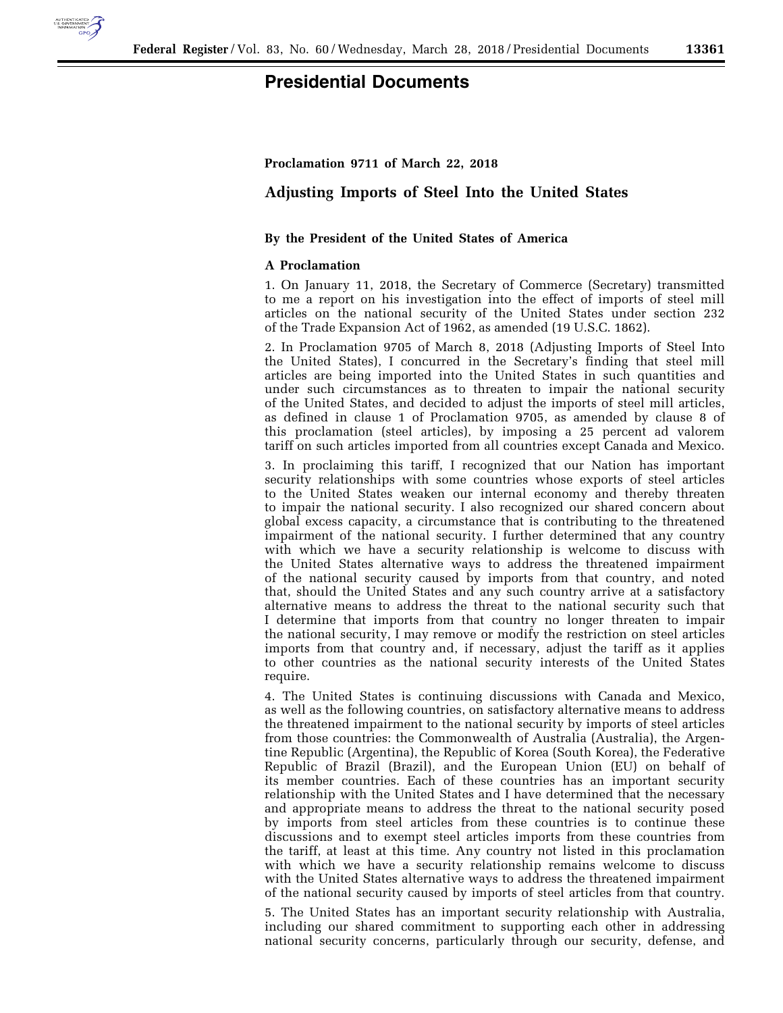

# **Presidential Documents**

### **Proclamation 9711 of March 22, 2018**

## **Adjusting Imports of Steel Into the United States**

### **By the President of the United States of America**

#### **A Proclamation**

1. On January 11, 2018, the Secretary of Commerce (Secretary) transmitted to me a report on his investigation into the effect of imports of steel mill articles on the national security of the United States under section 232 of the Trade Expansion Act of 1962, as amended (19 U.S.C. 1862).

2. In Proclamation 9705 of March 8, 2018 (Adjusting Imports of Steel Into the United States), I concurred in the Secretary's finding that steel mill articles are being imported into the United States in such quantities and under such circumstances as to threaten to impair the national security of the United States, and decided to adjust the imports of steel mill articles, as defined in clause 1 of Proclamation 9705, as amended by clause 8 of this proclamation (steel articles), by imposing a 25 percent ad valorem tariff on such articles imported from all countries except Canada and Mexico.

3. In proclaiming this tariff, I recognized that our Nation has important security relationships with some countries whose exports of steel articles to the United States weaken our internal economy and thereby threaten to impair the national security. I also recognized our shared concern about global excess capacity, a circumstance that is contributing to the threatened impairment of the national security. I further determined that any country with which we have a security relationship is welcome to discuss with the United States alternative ways to address the threatened impairment of the national security caused by imports from that country, and noted that, should the United States and any such country arrive at a satisfactory alternative means to address the threat to the national security such that I determine that imports from that country no longer threaten to impair the national security, I may remove or modify the restriction on steel articles imports from that country and, if necessary, adjust the tariff as it applies to other countries as the national security interests of the United States require.

4. The United States is continuing discussions with Canada and Mexico, as well as the following countries, on satisfactory alternative means to address the threatened impairment to the national security by imports of steel articles from those countries: the Commonwealth of Australia (Australia), the Argentine Republic (Argentina), the Republic of Korea (South Korea), the Federative Republic of Brazil (Brazil), and the European Union (EU) on behalf of its member countries. Each of these countries has an important security relationship with the United States and I have determined that the necessary and appropriate means to address the threat to the national security posed by imports from steel articles from these countries is to continue these discussions and to exempt steel articles imports from these countries from the tariff, at least at this time. Any country not listed in this proclamation with which we have a security relationship remains welcome to discuss with the United States alternative ways to address the threatened impairment of the national security caused by imports of steel articles from that country.

5. The United States has an important security relationship with Australia, including our shared commitment to supporting each other in addressing national security concerns, particularly through our security, defense, and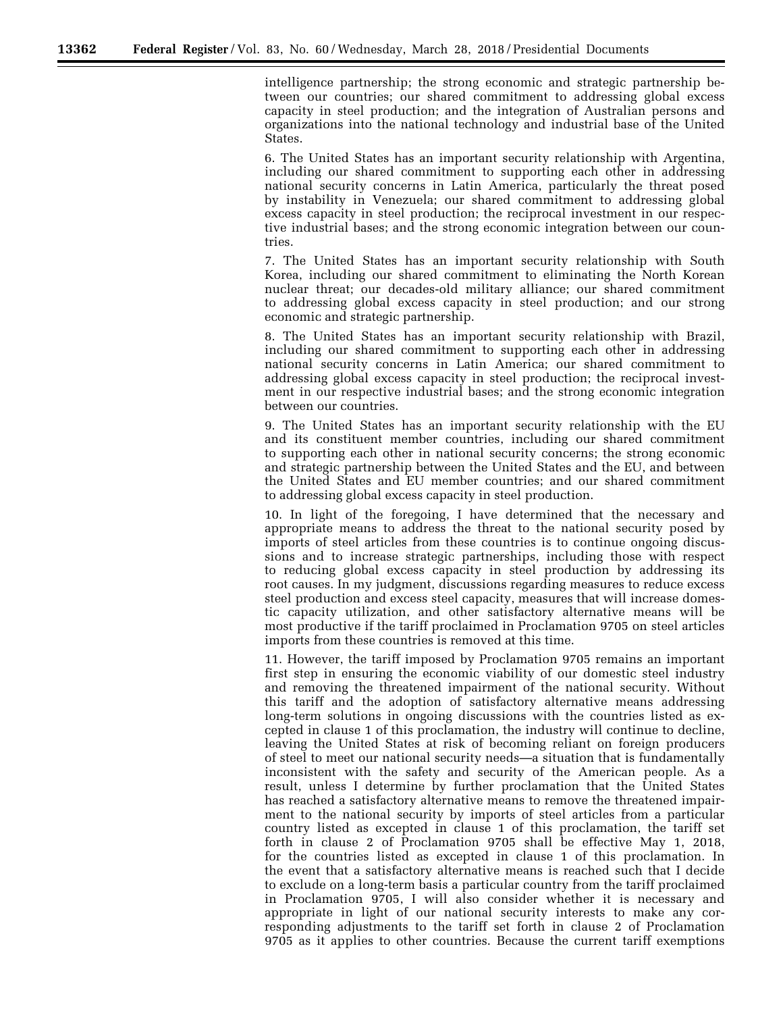intelligence partnership; the strong economic and strategic partnership between our countries; our shared commitment to addressing global excess capacity in steel production; and the integration of Australian persons and organizations into the national technology and industrial base of the United States.

6. The United States has an important security relationship with Argentina, including our shared commitment to supporting each other in addressing national security concerns in Latin America, particularly the threat posed by instability in Venezuela; our shared commitment to addressing global excess capacity in steel production; the reciprocal investment in our respective industrial bases; and the strong economic integration between our countries.

7. The United States has an important security relationship with South Korea, including our shared commitment to eliminating the North Korean nuclear threat; our decades-old military alliance; our shared commitment to addressing global excess capacity in steel production; and our strong economic and strategic partnership.

8. The United States has an important security relationship with Brazil, including our shared commitment to supporting each other in addressing national security concerns in Latin America; our shared commitment to addressing global excess capacity in steel production; the reciprocal investment in our respective industrial bases; and the strong economic integration between our countries.

9. The United States has an important security relationship with the EU and its constituent member countries, including our shared commitment to supporting each other in national security concerns; the strong economic and strategic partnership between the United States and the EU, and between the United States and EU member countries; and our shared commitment to addressing global excess capacity in steel production.

10. In light of the foregoing, I have determined that the necessary and appropriate means to address the threat to the national security posed by imports of steel articles from these countries is to continue ongoing discussions and to increase strategic partnerships, including those with respect to reducing global excess capacity in steel production by addressing its root causes. In my judgment, discussions regarding measures to reduce excess steel production and excess steel capacity, measures that will increase domestic capacity utilization, and other satisfactory alternative means will be most productive if the tariff proclaimed in Proclamation 9705 on steel articles imports from these countries is removed at this time.

11. However, the tariff imposed by Proclamation 9705 remains an important first step in ensuring the economic viability of our domestic steel industry and removing the threatened impairment of the national security. Without this tariff and the adoption of satisfactory alternative means addressing long-term solutions in ongoing discussions with the countries listed as excepted in clause 1 of this proclamation, the industry will continue to decline, leaving the United States at risk of becoming reliant on foreign producers of steel to meet our national security needs—a situation that is fundamentally inconsistent with the safety and security of the American people. As a result, unless I determine by further proclamation that the United States has reached a satisfactory alternative means to remove the threatened impairment to the national security by imports of steel articles from a particular country listed as excepted in clause 1 of this proclamation, the tariff set forth in clause 2 of Proclamation 9705 shall be effective May 1, 2018, for the countries listed as excepted in clause 1 of this proclamation. In the event that a satisfactory alternative means is reached such that I decide to exclude on a long-term basis a particular country from the tariff proclaimed in Proclamation 9705, I will also consider whether it is necessary and appropriate in light of our national security interests to make any corresponding adjustments to the tariff set forth in clause 2 of Proclamation 9705 as it applies to other countries. Because the current tariff exemptions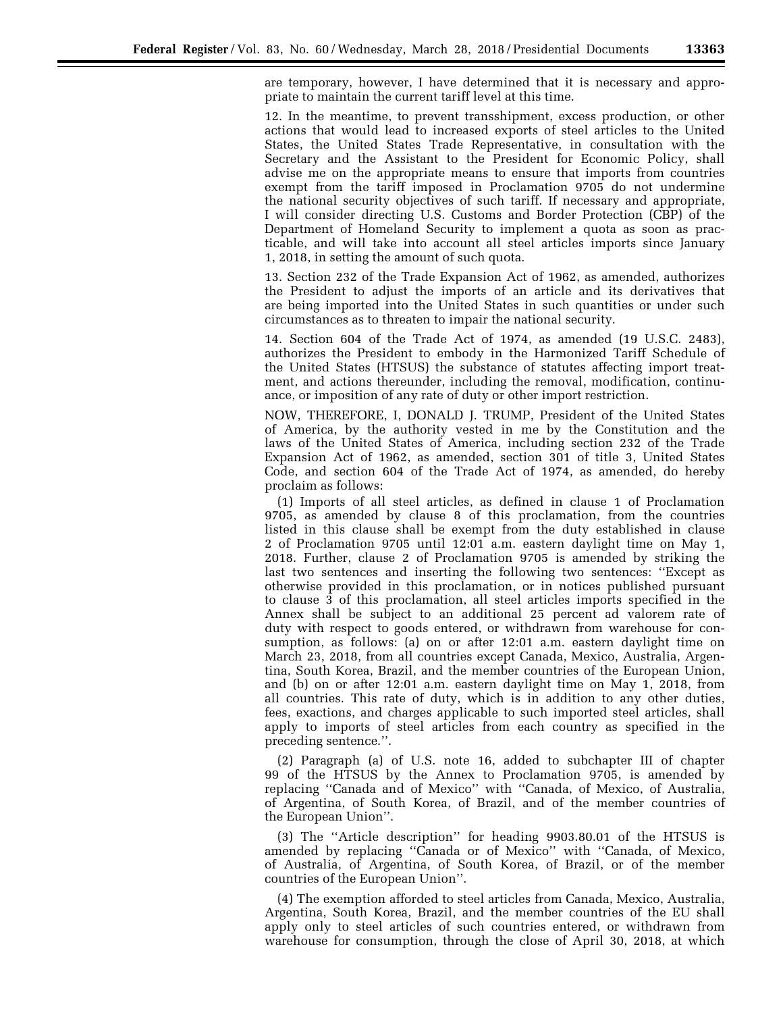are temporary, however, I have determined that it is necessary and appropriate to maintain the current tariff level at this time.

12. In the meantime, to prevent transshipment, excess production, or other actions that would lead to increased exports of steel articles to the United States, the United States Trade Representative, in consultation with the Secretary and the Assistant to the President for Economic Policy, shall advise me on the appropriate means to ensure that imports from countries exempt from the tariff imposed in Proclamation 9705 do not undermine the national security objectives of such tariff. If necessary and appropriate, I will consider directing U.S. Customs and Border Protection (CBP) of the Department of Homeland Security to implement a quota as soon as practicable, and will take into account all steel articles imports since January 1, 2018, in setting the amount of such quota.

13. Section 232 of the Trade Expansion Act of 1962, as amended, authorizes the President to adjust the imports of an article and its derivatives that are being imported into the United States in such quantities or under such circumstances as to threaten to impair the national security.

14. Section 604 of the Trade Act of 1974, as amended (19 U.S.C. 2483), authorizes the President to embody in the Harmonized Tariff Schedule of the United States (HTSUS) the substance of statutes affecting import treatment, and actions thereunder, including the removal, modification, continuance, or imposition of any rate of duty or other import restriction.

NOW, THEREFORE, I, DONALD J. TRUMP, President of the United States of America, by the authority vested in me by the Constitution and the laws of the United States of America, including section 232 of the Trade Expansion Act of 1962, as amended, section 301 of title 3, United States Code, and section 604 of the Trade Act of 1974, as amended, do hereby proclaim as follows:

(1) Imports of all steel articles, as defined in clause 1 of Proclamation 9705, as amended by clause 8 of this proclamation, from the countries listed in this clause shall be exempt from the duty established in clause 2 of Proclamation 9705 until 12:01 a.m. eastern daylight time on May 1, 2018. Further, clause 2 of Proclamation 9705 is amended by striking the last two sentences and inserting the following two sentences: ''Except as otherwise provided in this proclamation, or in notices published pursuant to clause 3 of this proclamation, all steel articles imports specified in the Annex shall be subject to an additional 25 percent ad valorem rate of duty with respect to goods entered, or withdrawn from warehouse for consumption, as follows: (a) on or after 12:01 a.m. eastern daylight time on March 23, 2018, from all countries except Canada, Mexico, Australia, Argentina, South Korea, Brazil, and the member countries of the European Union, and (b) on or after 12:01 a.m. eastern daylight time on May 1, 2018, from all countries. This rate of duty, which is in addition to any other duties, fees, exactions, and charges applicable to such imported steel articles, shall apply to imports of steel articles from each country as specified in the preceding sentence.''.

(2) Paragraph (a) of U.S. note 16, added to subchapter III of chapter 99 of the HTSUS by the Annex to Proclamation 9705, is amended by replacing ''Canada and of Mexico'' with ''Canada, of Mexico, of Australia, of Argentina, of South Korea, of Brazil, and of the member countries of the European Union''.

(3) The ''Article description'' for heading 9903.80.01 of the HTSUS is amended by replacing ''Canada or of Mexico'' with ''Canada, of Mexico, of Australia, of Argentina, of South Korea, of Brazil, or of the member countries of the European Union''.

(4) The exemption afforded to steel articles from Canada, Mexico, Australia, Argentina, South Korea, Brazil, and the member countries of the EU shall apply only to steel articles of such countries entered, or withdrawn from warehouse for consumption, through the close of April 30, 2018, at which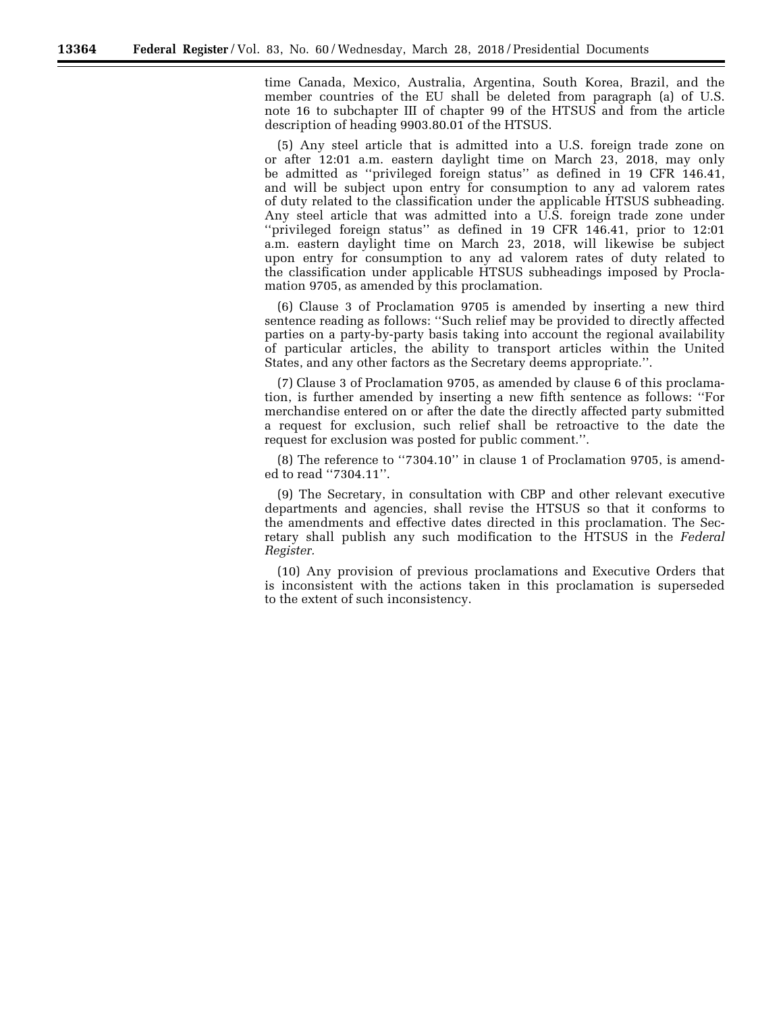time Canada, Mexico, Australia, Argentina, South Korea, Brazil, and the member countries of the EU shall be deleted from paragraph (a) of U.S. note 16 to subchapter III of chapter 99 of the HTSUS and from the article description of heading 9903.80.01 of the HTSUS.

(5) Any steel article that is admitted into a U.S. foreign trade zone on or after 12:01 a.m. eastern daylight time on March 23, 2018, may only be admitted as ''privileged foreign status'' as defined in 19 CFR 146.41, and will be subject upon entry for consumption to any ad valorem rates of duty related to the classification under the applicable HTSUS subheading. Any steel article that was admitted into a U.S. foreign trade zone under ''privileged foreign status'' as defined in 19 CFR 146.41, prior to 12:01 a.m. eastern daylight time on March 23, 2018, will likewise be subject upon entry for consumption to any ad valorem rates of duty related to the classification under applicable HTSUS subheadings imposed by Proclamation 9705, as amended by this proclamation.

(6) Clause 3 of Proclamation 9705 is amended by inserting a new third sentence reading as follows: ''Such relief may be provided to directly affected parties on a party-by-party basis taking into account the regional availability of particular articles, the ability to transport articles within the United States, and any other factors as the Secretary deems appropriate.''.

(7) Clause 3 of Proclamation 9705, as amended by clause 6 of this proclamation, is further amended by inserting a new fifth sentence as follows: ''For merchandise entered on or after the date the directly affected party submitted a request for exclusion, such relief shall be retroactive to the date the request for exclusion was posted for public comment.''.

(8) The reference to ''7304.10'' in clause 1 of Proclamation 9705, is amended to read ''7304.11''.

(9) The Secretary, in consultation with CBP and other relevant executive departments and agencies, shall revise the HTSUS so that it conforms to the amendments and effective dates directed in this proclamation. The Secretary shall publish any such modification to the HTSUS in the *Federal Register.* 

(10) Any provision of previous proclamations and Executive Orders that is inconsistent with the actions taken in this proclamation is superseded to the extent of such inconsistency.